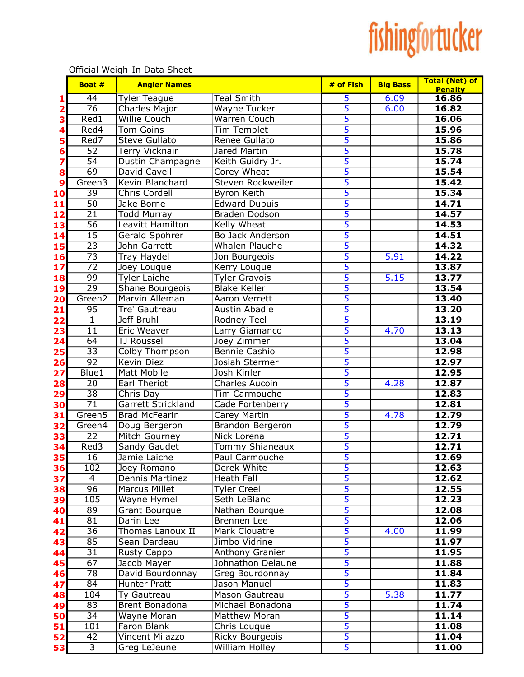## fishingfortucker

|          | Boat #                             | <b>Angler Names</b>                   |                                        | # of Fish                                 | <b>Big Bass</b> | <b>Total (Net) of</b><br><b>Penalty</b> |
|----------|------------------------------------|---------------------------------------|----------------------------------------|-------------------------------------------|-----------------|-----------------------------------------|
| 1        | $\overline{44}$                    | <b>Tyler Teague</b>                   | <b>Teal Smith</b>                      | 5                                         | 6.09            | 16.86                                   |
| 2        | $\overline{76}$                    | <b>Charles Major</b>                  | Wayne Tucker                           | 5                                         | 6.00            | 16.82                                   |
| З        | $\overline{\text{Red1}}$           | <b>Willie Couch</b>                   | <b>Warren Couch</b>                    | $\overline{5}$                            |                 | 16.06                                   |
| 4        | Red4                               | <b>Tom Goins</b>                      | <b>Tim Templet</b>                     | $\overline{5}$                            |                 | 15.96                                   |
| 5        | Red7                               | <b>Steve Gullato</b>                  | Renee Gullato                          | $\overline{5}$                            |                 | 15.86                                   |
| 6        | $\overline{52}$                    | <b>Terry Vicknair</b>                 | Jared Martin                           | 5                                         |                 | 15.78                                   |
| 7        | $\overline{54}$                    | Dustin Champagne                      | Keith Guidry Jr.                       | 5                                         |                 | 15.74                                   |
| 8        | 69                                 | David Cavell                          | Corey Wheat                            | $\overline{5}$                            |                 | 15.54                                   |
| 9        | Green <sub>3</sub>                 | Kevin Blanchard                       | <b>Steven Rockweiler</b>               | $\overline{5}$                            |                 | 15.42                                   |
| 10       | 39                                 | <b>Chris Cordell</b>                  | Byron Keith                            | $\overline{5}$                            |                 | 15.34                                   |
| 11       | $\overline{50}$                    | Jake Borne                            | <b>Edward Dupuis</b>                   | $\overline{5}$                            |                 | 14.71                                   |
| 12       | $\overline{21}$                    | <b>Todd Murray</b>                    | <b>Braden Dodson</b>                   | $\overline{5}$                            |                 | 14.57                                   |
| 13       | 56                                 | Leavitt Hamilton                      | Kelly Wheat                            | $\overline{5}$                            |                 | 14.53                                   |
| 14       | $\overline{15}$                    | Gerald Spohrer                        | Bo Jack Anderson                       | $\overline{5}$                            |                 | 14.51                                   |
| 15       | $\overline{23}$                    | John Garrett                          | Whalen Plauche                         | $\overline{5}$                            |                 | 14.32                                   |
| 16       | $\overline{73}$                    | <b>Tray Haydel</b>                    | Jon Bourgeois                          | $\overline{5}$                            | 5.91            | 14.22                                   |
| 17       | $\overline{72}$                    | Joey Louque                           | Kerry Louque                           | $\overline{5}$                            |                 | 13.87                                   |
| 18       | 99                                 | <b>Tyler Laiche</b>                   | <b>Tyler Gravois</b>                   | 5                                         | 5.15            | 13.77                                   |
| 19       | $\overline{29}$                    | Shane Bourgeois                       | <b>Blake Keller</b>                    | $\overline{5}$                            |                 | 13.54                                   |
| 20       | Green2                             | Marvin Alleman                        | Aaron Verrett                          | $\overline{5}$                            |                 | 13.40                                   |
| 21       | 95                                 | Tre' Gautreau                         | Austin Abadie                          | 5                                         |                 | 13.20                                   |
| 22       | $\overline{1}$                     | <b>Jeff Bruhl</b>                     | Rodney Teel                            | 5                                         |                 | 13.19                                   |
| 23       | $\overline{11}$                    | Eric Weaver                           | Larry Giamanco                         | 5                                         | 4.70            | 13.13                                   |
| 24       | $\overline{64}$                    | <b>TJ Roussel</b>                     | Joey Zimmer                            | $\overline{5}$                            |                 | 13.04                                   |
| 25       | $\overline{33}$                    | Colby Thompson                        | Bennie Cashio                          | 5                                         |                 | 12.98                                   |
| 26       | $\overline{92}$                    | Kevin Diez                            | Josiah Stermer                         | $\overline{5}$                            |                 | 12.97                                   |
| 27       | Blue1                              | <b>Matt Mobile</b>                    | Josh Kinler                            | $\overline{\mathbf{5}}$<br>$\overline{5}$ |                 | 12.95                                   |
| 28       | $\overline{20}$                    | <b>Earl Theriot</b>                   | <b>Charles Aucoin</b>                  |                                           | 4.28            | 12.87                                   |
| 29       | $\overline{38}$<br>$\overline{71}$ | Chris Day                             | Tim Carmouche                          | $\overline{5}$<br>$\overline{5}$          |                 | 12.83                                   |
| 30       | Green <sub>5</sub>                 | <b>Garrett Strickland</b>             | Cade Fortenberry                       | $\overline{\mathbf{5}}$                   | 4.78            | 12.81<br>12.79                          |
| 31       | Green4                             | <b>Brad McFearin</b>                  | <b>Carey Martin</b>                    | 5                                         |                 | 12.79                                   |
| 32<br>33 | $\overline{22}$                    | Doug Bergeron<br><b>Mitch Gourney</b> | Brandon Bergeron<br><b>Nick Lorena</b> | 5                                         |                 | 12.71                                   |
|          | Red <sub>3</sub>                   | <b>Sandy Gaudet</b>                   | <b>Tommy Shianeaux</b>                 | 5                                         |                 | 12.71                                   |
| 34<br>35 | 16                                 | Jamie Laiche                          | Paul Carmouche                         | 5                                         |                 | 12.69                                   |
| 36       | 102                                | Joey Romano                           | Derek White                            | $\overline{5}$                            |                 | 12.63                                   |
| 37       | 4                                  | Dennis Martinez                       | Heath Fall                             | 5                                         |                 | 12.62                                   |
| 38       | $\overline{96}$                    | <b>Marcus Millet</b>                  | <b>Tyler Creel</b>                     | $\overline{\mathbf{5}}$                   |                 | 12.55                                   |
| 39       | 105                                | Wayne Hymel                           | Seth LeBlanc                           | $\overline{5}$                            |                 | 12.23                                   |
| 40       | 89                                 | <b>Grant Bourque</b>                  | Nathan Bourque                         | $\overline{\mathbf{5}}$                   |                 | 12.08                                   |
| 41       | 81                                 | Darin Lee                             | Brennen Lee                            | $\overline{\mathbf{5}}$                   |                 | 12.06                                   |
| 42       | $\overline{36}$                    | Thomas Lanoux II                      | Mark Clouatre                          | $\overline{\mathbf{5}}$                   | 4.00            | 11.99                                   |
| 43       | 85                                 | Sean Dardeau                          | Jimbo Vidrine                          | $\overline{5}$                            |                 | 11.97                                   |
| 44       | 31                                 | <b>Rusty Cappo</b>                    | Anthony Granier                        | $\overline{5}$                            |                 | 11.95                                   |
| 45       | 67                                 | Jacob Mayer                           | Johnathon Delaune                      | $\overline{5}$                            |                 | 11.88                                   |
| 46       | 78                                 | David Bourdonnay                      | Greg Bourdonnay                        | 5                                         |                 | 11.84                                   |
| 47       | 84                                 | Hunter Pratt                          | Jason Manuel                           | 5                                         |                 | 11.83                                   |
| 48       | 104                                | Ty Gautreau                           | Mason Gautreau                         | 5                                         | 5.38            | 11.77                                   |
| 49       | $\overline{83}$                    | Brent Bonadona                        | Michael Bonadona                       | 5                                         |                 | 11.74                                   |
| 50       | $\overline{34}$                    | Wayne Moran                           | Matthew Moran                          | $\overline{5}$                            |                 | 11.14                                   |
| 51       | 101                                | Faron Blank                           | Chris Louque                           | $\overline{5}$                            |                 | 11.08                                   |
| 52       | 42                                 | Vincent Milazzo                       | <b>Ricky Bourgeois</b>                 | $\overline{5}$                            |                 | 11.04                                   |
| 53       | $\overline{3}$                     | Greg LeJeune                          | <b>William Holley</b>                  | $\overline{5}$                            |                 | 11.00                                   |

Official Weigh-In Data Sheet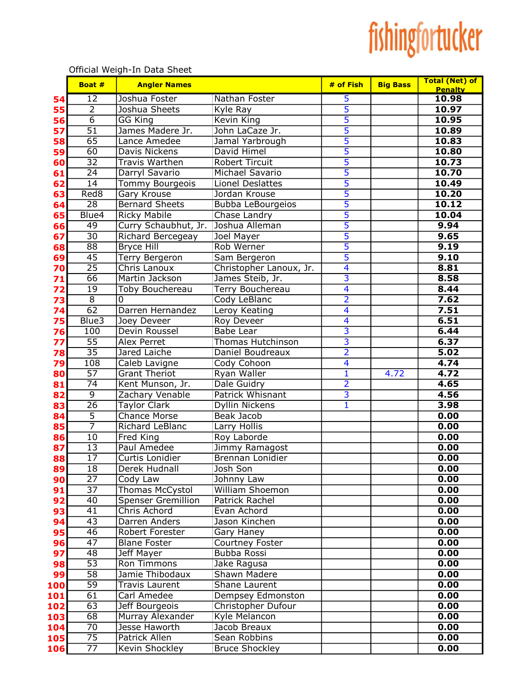## fishingfortucker

|          | Boat #                           | <b>Angler Names</b>                 |                                    | # of Fish               | <b>Big Bass</b> | <b>Total (Net) of</b><br><b>Penalty</b> |
|----------|----------------------------------|-------------------------------------|------------------------------------|-------------------------|-----------------|-----------------------------------------|
| 54       | $\overline{12}$                  | Joshua Foster                       | Nathan Foster                      | $\overline{\mathbf{5}}$ |                 | 10.98                                   |
| 55       | $\overline{2}$                   | Joshua Sheets                       | Kyle Ray                           | 5                       |                 | 10.97                                   |
| 56       | $\overline{6}$                   | <b>GG King</b>                      | <b>Kevin King</b>                  | 5                       |                 | 10.95                                   |
| 57       | $\overline{51}$                  | James Madere Jr.                    | John LaCaze Jr.                    | $\overline{5}$          |                 | 10.89                                   |
| 58       | 65                               | Lance Amedee                        | Jamal Yarbrough                    | 5                       |                 | 10.83                                   |
| 59       | $\overline{60}$                  | Davis Nickens                       | David Himel                        | $\overline{5}$          |                 | 10.80                                   |
| 60       | $\overline{32}$                  | <b>Travis Warthen</b>               | <b>Robert Tircuit</b>              | $\overline{5}$          |                 | 10.73                                   |
| 61       | 24                               | Darryl Savario                      | Michael Savario                    | $\overline{5}$          |                 | 10.70                                   |
| 62       | 14                               | Tommy Bourgeois                     | Lionel Deslattes                   | $\overline{5}$          |                 | 10.49                                   |
| 63       | Red <sub>8</sub>                 | Gary Krouse                         | Jordan Krouse                      | $\overline{5}$          |                 | 10.20                                   |
| 64       | $\overline{28}$                  | <b>Bernard Sheets</b>               | <b>Bubba LeBourgeios</b>           | 5                       |                 | 10.12                                   |
| 65       | Blue4                            | <b>Ricky Mabile</b>                 | Chase Landry                       | 5                       |                 | 10.04                                   |
| 66       | 49                               | Curry Schaubhut, Jr. Joshua Alleman |                                    | 5                       |                 | 9.94                                    |
| 67       | $\overline{30}$                  | Richard Bercegeay                   | Joel Mayer                         | 5                       |                 | 9.65                                    |
| 68       | $\overline{88}$                  | Bryce Hill                          | Rob Werner                         | 5                       |                 | 9.19                                    |
| 69       | $\overline{45}$                  | <b>Terry Bergeron</b>               | Sam Bergeron                       | 5                       |                 | 9.10                                    |
| 70       | $\overline{25}$                  | <b>Chris Lanoux</b>                 | Christopher Lanoux, Jr.            | $\overline{4}$          |                 | 8.81                                    |
| 71       | 66                               | Martin Jackson                      | James Steib, Jr.                   | $\overline{3}$          |                 | 8.58                                    |
| 72       | $\overline{19}$                  | <b>Toby Bouchereau</b>              | <b>Terry Bouchereau</b>            | $\overline{4}$          |                 | 8.44                                    |
| 73       | $\overline{8}$                   | 0                                   | Cody LeBlanc                       | $\overline{2}$          |                 | 7.62                                    |
| 74       | $\overline{62}$                  | Darren Hernandez                    | Leroy Keating                      | $\overline{4}$          |                 | 7.51                                    |
| 75       | Blue <sub>3</sub>                | Joey Deveer                         | <b>Roy Deveer</b>                  | $\overline{4}$          |                 | 6.51                                    |
| 76       | 100                              | Devin Roussel                       | <b>Babe Lear</b>                   | $\overline{3}$          |                 | 6.44                                    |
| 77       | $\overline{55}$                  | <b>Alex Perret</b>                  | <b>Thomas Hutchinson</b>           | $\overline{\mathbf{3}}$ |                 | 6.37                                    |
| 78       | $\overline{35}$                  | Jared Laiche                        | Daniel Boudreaux                   | $\overline{2}$          |                 | 5.02                                    |
| 79       | 108                              | Caleb Lavigne                       | Cody Cohoon                        | $\overline{\mathbf{4}}$ |                 | 4.74                                    |
| 80       | $\overline{57}$                  | <b>Grant Theriot</b>                | Ryan Waller                        | 1                       | 4.72            | 4.72                                    |
| 81       | $\overline{74}$                  | Kent Munson, Jr.                    | Dale Guidry                        | $\overline{2}$          |                 | 4.65                                    |
| 82       | $\overline{9}$                   | Zachary Venable                     | Patrick Whisnant                   | $\overline{\mathbf{3}}$ |                 | 4.56                                    |
| 83       | $\overline{26}$                  | <b>Taylor Clark</b>                 | Dyllin Nickens                     | $\mathbf{1}$            |                 | 3.98                                    |
| 84       | $\overline{5}$<br>$\overline{7}$ | <b>Chance Morse</b>                 | Beak Jacob                         |                         |                 | 0.00                                    |
| 85       |                                  | Richard LeBlanc                     | Larry Hollis                       |                         |                 | 0.00                                    |
| 86       | 10<br>13                         | Fred King<br>Paul Amedee            | Roy Laborde                        |                         |                 | 0.00                                    |
| 87<br>88 | $\overline{17}$                  | Curtis Lonidier                     | Jimmy Ramagost<br>Brennan Lonidier |                         |                 | 0.00<br>0.00                            |
| 89       | 18                               | Derek Hudnall                       | Josh Son                           |                         |                 | 0.00                                    |
| 90       | $\overline{27}$                  | Cody Law                            | Johnny Law                         |                         |                 | 0.00                                    |
| 91       | $\overline{37}$                  | Thomas McCystol                     | William Shoemon                    |                         |                 | 0.00                                    |
| 92       | 40                               | <b>Spenser Gremillion</b>           | Patrick Rachel                     |                         |                 | 0.00                                    |
| 93       | $\overline{41}$                  | Chris Achord                        | Evan Achord                        |                         |                 | 0.00                                    |
| 94       | $\overline{43}$                  | Darren Anders                       | Jason Kinchen                      |                         |                 | 0.00                                    |
| 95       | $\overline{46}$                  | Robert Forester                     | Gary Haney                         |                         |                 | 0.00                                    |
| 96       | $\overline{47}$                  | <b>Blane Foster</b>                 | Courtney Foster                    |                         |                 | 0.00                                    |
| 97       | 48                               | Jeff Mayer                          | Bubba Rossi                        |                         |                 | 0.00                                    |
| 98       | $\overline{53}$                  | Ron Timmons                         | Jake Ragusa                        |                         |                 | 0.00                                    |
| 99       | $\overline{58}$                  | Jamie Thibodaux                     | Shawn Madere                       |                         |                 | 0.00                                    |
| 100      | $\overline{59}$                  | <b>Travis Laurent</b>               | Shane Laurent                      |                         |                 | 0.00                                    |
| 101      | $\overline{61}$                  | Carl Amedee                         | Dempsey Edmonston                  |                         |                 | 0.00                                    |
| 102      | $\overline{63}$                  | Jeff Bourgeois                      | Christopher Dufour                 |                         |                 | 0.00                                    |
| 103      | 68                               | Murray Alexander                    | <b>Kyle Melancon</b>               |                         |                 | 0.00                                    |
| 104      | $\overline{70}$                  | Jesse Haworth                       | Jacob Breaux                       |                         |                 | 0.00                                    |
| 105      | $\overline{75}$                  | <b>Patrick Allen</b>                | Sean Robbins                       |                         |                 | 0.00                                    |
| 106      | $\overline{77}$                  | Kevin Shockley                      | <b>Bruce Shockley</b>              |                         |                 | 0.00                                    |

Official Weigh-In Data Sheet